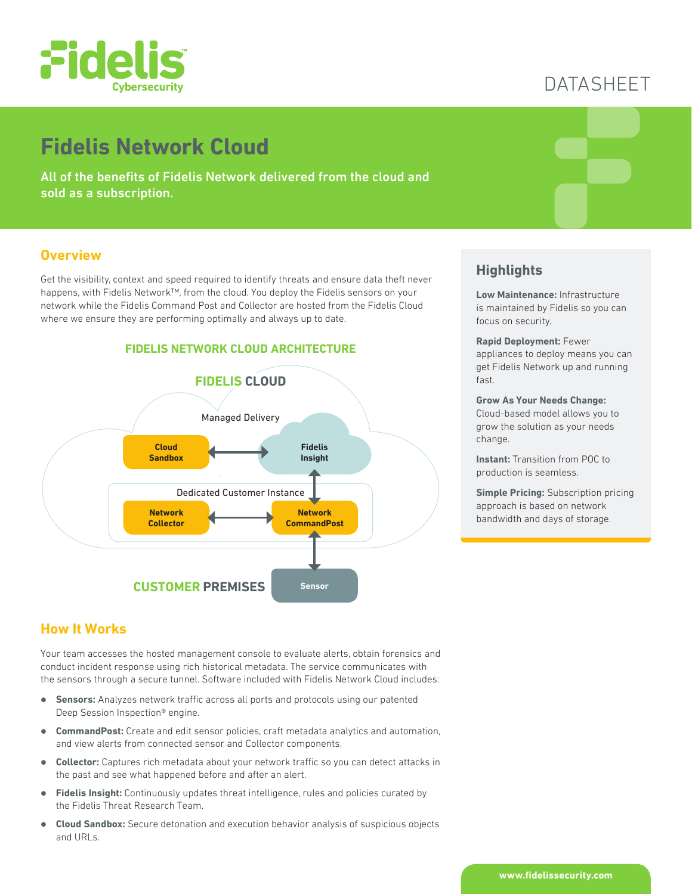

# DATASHEET

# **Fidelis Network Cloud**

All of the benefits of Fidelis Network delivered from the cloud and sold as a subscription.

### **Overview**

Get the visibility, context and speed required to identify threats and ensure data theft never happens, with Fidelis Network™, from the cloud. You deploy the Fidelis sensors on your network while the Fidelis Command Post and Collector are hosted from the Fidelis Cloud where we ensure they are performing optimally and always up to date.



## **Highlights**

**Low Maintenance:** Infrastructure is maintained by Fidelis so you can focus on security.

#### **Rapid Deployment:** Fewer appliances to deploy means you can get Fidelis Network up and running fast.

#### **Grow As Your Needs Change:**

Cloud-based model allows you to grow the solution as your needs change.

**Instant: Transition from POC to** production is seamless.

**Simple Pricing:** Subscription pricing approach is based on network bandwidth and days of storage.

## **How It Works**

Your team accesses the hosted management console to evaluate alerts, obtain forensics and conduct incident response using rich historical metadata. The service communicates with the sensors through a secure tunnel. Software included with Fidelis Network Cloud includes:

- **Sensors:** Analyzes network traffic across all ports and protocols using our patented Deep Session Inspection® engine.
- **CommandPost:** Create and edit sensor policies, craft metadata analytics and automation, and view alerts from connected sensor and Collector components.
- **Collector:** Captures rich metadata about your network traffic so you can detect attacks in the past and see what happened before and after an alert.
- **Fidelis Insight:** Continuously updates threat intelligence, rules and policies curated by the Fidelis Threat Research Team.
- **Cloud Sandbox:** Secure detonation and execution behavior analysis of suspicious objects and URLs.